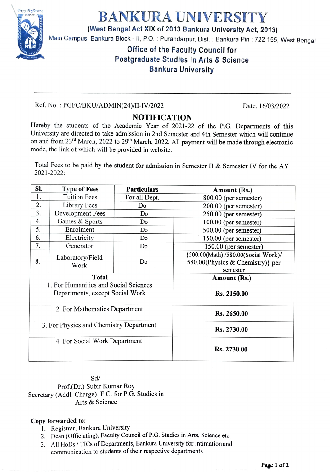

## BANKURA UNIVERSITY

(West Bengal Act XIX of 2013 Bankura University Act, 2013)

Main Campus, Bankura Block - II, P.O. : Purandarpur, Dist. : Bankura Pin : 722 155, West Bengal

## Office of the Faculty Council for Postgraduate Studies in Arts & Science Bankura University

Ref. No.: PGFC/BKU/ADMIN(24)/II-IV/2022 Date. 16/03/2022

## NOTIFICATION

Hereby the students of the Academic Year of 2021-22 of the P.G. Departments of this University are directed to take admission in 2nd Semester and 4th Semester which will continue on and from 23<sup>rd</sup> March, 2022 to 29<sup>th</sup> March, 2022. All payment will be made through electronic mode, the link of which will be provided in website.

Total Fees to be paid by the student for admission in Semester II & Semester IV for the AY 2021-2022:

| SI.                                     | <b>Type of Fees</b>      | <b>Particulars</b> | Amount (Rs.)                        |
|-----------------------------------------|--------------------------|--------------------|-------------------------------------|
| 1.                                      | <b>Tuition Fees</b>      | For all Dept.      | $800.00$ (per semester)             |
| 2.                                      | Library Fees             | Do                 | $200.00$ (per semester)             |
| 3.                                      | Development Fees         | Do                 | 250.00 (per semester)               |
| 4.                                      | Games & Sports           | Do                 | 100.00 (per semester)               |
| 5.                                      | Enrolment                | Do                 | 500.00 (per semester)               |
| 6.                                      | Electricity              | Do                 | 150.00 (per semester)               |
| 7.                                      | Generator                | Do                 | 150.00 (per semester)               |
| 8.                                      | Laboratory/Field<br>Work | Do                 | {500.00(Math) /580.00(Social Work)/ |
|                                         |                          |                    | 580.00(Physics & Chemistry)} per    |
|                                         |                          |                    | semester                            |
| <b>Total</b>                            |                          |                    | Amount (Rs.)                        |
| 1. For Humanities and Social Sciences   |                          |                    |                                     |
| Departments, except Social Work         |                          |                    | Rs. 2150.00                         |
|                                         |                          |                    |                                     |
| 2. For Mathematics Department           |                          |                    | Rs. 2650.00                         |
|                                         |                          |                    |                                     |
| 3. For Physics and Chemistry Department |                          |                    | Rs. 2730.00                         |
|                                         |                          |                    |                                     |
| 4. For Social Work Department           |                          |                    |                                     |
|                                         |                          |                    | Rs. 2730.00                         |
|                                         |                          |                    |                                     |

Sd/ Prof.(Dr.) Subir Kumar Roy Secretary (Addl. Charge), F.C. for P.G. Studies in Arts & Science

## Copy forwarded to:

- . Registrar, Bankura University
- 2. Dean (Officiating), Faculty Council of P.G. Studies in Arts, Science etc.
- 3. All HoDs/ TICs of Departments, Bankura University for intimation and communication to students of their respective departments